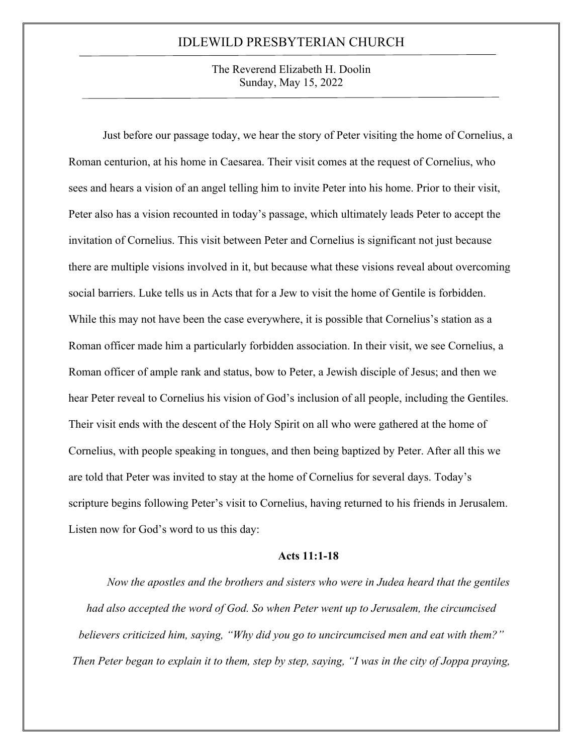The Reverend Elizabeth H. Doolin Sunday, May 15, 2022

Just before our passage today, we hear the story of Peter visiting the home of Cornelius, a Roman centurion, at his home in Caesarea. Their visit comes at the request of Cornelius, who sees and hears a vision of an angel telling him to invite Peter into his home. Prior to their visit, Peter also has a vision recounted in today's passage, which ultimately leads Peter to accept the invitation of Cornelius. This visit between Peter and Cornelius is significant not just because there are multiple visions involved in it, but because what these visions reveal about overcoming social barriers. Luke tells us in Acts that for a Jew to visit the home of Gentile is forbidden. While this may not have been the case everywhere, it is possible that Cornelius's station as a Roman officer made him a particularly forbidden association. In their visit, we see Cornelius, a Roman officer of ample rank and status, bow to Peter, a Jewish disciple of Jesus; and then we hear Peter reveal to Cornelius his vision of God's inclusion of all people, including the Gentiles. Their visit ends with the descent of the Holy Spirit on all who were gathered at the home of Cornelius, with people speaking in tongues, and then being baptized by Peter. After all this we are told that Peter was invited to stay at the home of Cornelius for several days. Today's scripture begins following Peter's visit to Cornelius, having returned to his friends in Jerusalem. Listen now for God's word to us this day:

#### **Acts 11:1-18**

*Now the apostles and the brothers and sisters who were in Judea heard that the gentiles had also accepted the word of God. So when Peter went up to Jerusalem, the circumcised believers criticized him, saying, "Why did you go to uncircumcised men and eat with them?" Then Peter began to explain it to them, step by step, saying, "I was in the city of Joppa praying,*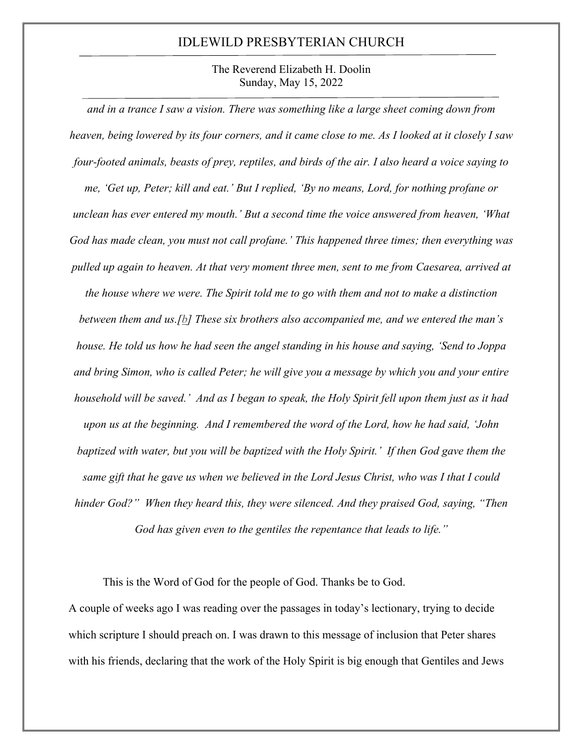#### The Reverend Elizabeth H. Doolin Sunday, May 15, 2022

*and in a trance I saw a vision. There was something like a large sheet coming down from heaven, being lowered by its four corners, and it came close to me. As I looked at it closely I saw four-footed animals, beasts of prey, reptiles, and birds of the air. I also heard a voice saying to me, 'Get up, Peter; kill and eat.' But I replied, 'By no means, Lord, for nothing profane or unclean has ever entered my mouth.' But a second time the voice answered from heaven, 'What God has made clean, you must not call profane.' This happened three times; then everything was pulled up again to heaven. At that very moment three men, sent to me from Caesarea, arrived at the house where we were. The Spirit told me to go with them and not to make a distinction between them and us.[b] These six brothers also accompanied me, and we entered the man's house. He told us how he had seen the angel standing in his house and saying, 'Send to Joppa and bring Simon, who is called Peter; he will give you a message by which you and your entire household will be saved.' And as I began to speak, the Holy Spirit fell upon them just as it had upon us at the beginning. And I remembered the word of the Lord, how he had said, 'John baptized with water, but you will be baptized with the Holy Spirit.' If then God gave them the same gift that he gave us when we believed in the Lord Jesus Christ, who was I that I could hinder God?" When they heard this, they were silenced. And they praised God, saying, "Then God has given even to the gentiles the repentance that leads to life."*

This is the Word of God for the people of God. Thanks be to God.

A couple of weeks ago I was reading over the passages in today's lectionary, trying to decide which scripture I should preach on. I was drawn to this message of inclusion that Peter shares with his friends, declaring that the work of the Holy Spirit is big enough that Gentiles and Jews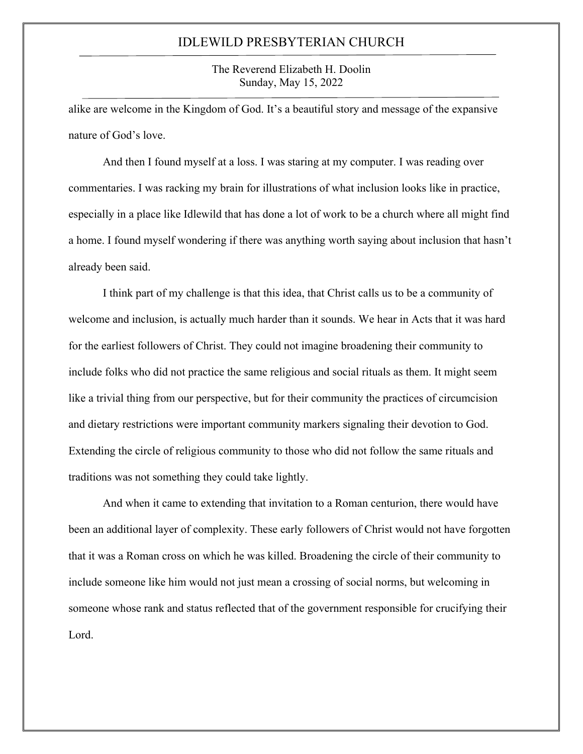The Reverend Elizabeth H. Doolin Sunday, May 15, 2022

alike are welcome in the Kingdom of God. It's a beautiful story and message of the expansive nature of God's love.

And then I found myself at a loss. I was staring at my computer. I was reading over commentaries. I was racking my brain for illustrations of what inclusion looks like in practice, especially in a place like Idlewild that has done a lot of work to be a church where all might find a home. I found myself wondering if there was anything worth saying about inclusion that hasn't already been said.

I think part of my challenge is that this idea, that Christ calls us to be a community of welcome and inclusion, is actually much harder than it sounds. We hear in Acts that it was hard for the earliest followers of Christ. They could not imagine broadening their community to include folks who did not practice the same religious and social rituals as them. It might seem like a trivial thing from our perspective, but for their community the practices of circumcision and dietary restrictions were important community markers signaling their devotion to God. Extending the circle of religious community to those who did not follow the same rituals and traditions was not something they could take lightly.

And when it came to extending that invitation to a Roman centurion, there would have been an additional layer of complexity. These early followers of Christ would not have forgotten that it was a Roman cross on which he was killed. Broadening the circle of their community to include someone like him would not just mean a crossing of social norms, but welcoming in someone whose rank and status reflected that of the government responsible for crucifying their Lord.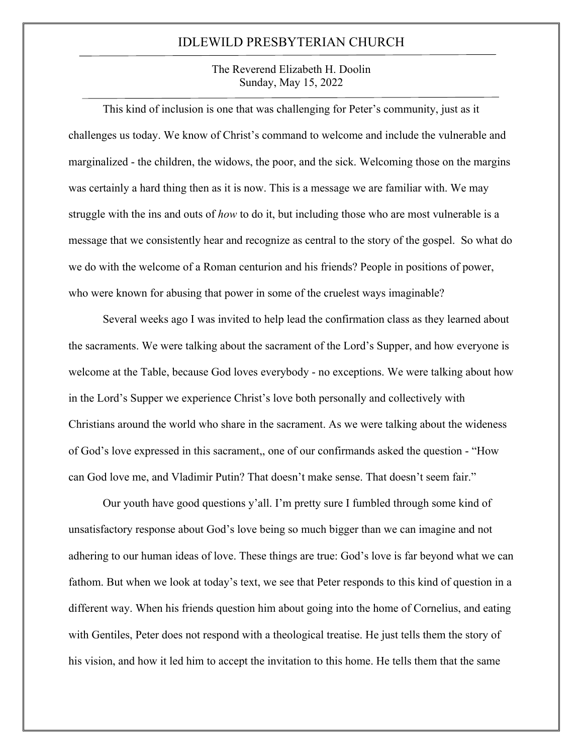The Reverend Elizabeth H. Doolin Sunday, May 15, 2022

This kind of inclusion is one that was challenging for Peter's community, just as it challenges us today. We know of Christ's command to welcome and include the vulnerable and marginalized - the children, the widows, the poor, and the sick. Welcoming those on the margins was certainly a hard thing then as it is now. This is a message we are familiar with. We may struggle with the ins and outs of *how* to do it, but including those who are most vulnerable is a message that we consistently hear and recognize as central to the story of the gospel. So what do we do with the welcome of a Roman centurion and his friends? People in positions of power, who were known for abusing that power in some of the cruelest ways imaginable?

Several weeks ago I was invited to help lead the confirmation class as they learned about the sacraments. We were talking about the sacrament of the Lord's Supper, and how everyone is welcome at the Table, because God loves everybody - no exceptions. We were talking about how in the Lord's Supper we experience Christ's love both personally and collectively with Christians around the world who share in the sacrament. As we were talking about the wideness of God's love expressed in this sacrament,, one of our confirmands asked the question - "How can God love me, and Vladimir Putin? That doesn't make sense. That doesn't seem fair."

Our youth have good questions y'all. I'm pretty sure I fumbled through some kind of unsatisfactory response about God's love being so much bigger than we can imagine and not adhering to our human ideas of love. These things are true: God's love is far beyond what we can fathom. But when we look at today's text, we see that Peter responds to this kind of question in a different way. When his friends question him about going into the home of Cornelius, and eating with Gentiles, Peter does not respond with a theological treatise. He just tells them the story of his vision, and how it led him to accept the invitation to this home. He tells them that the same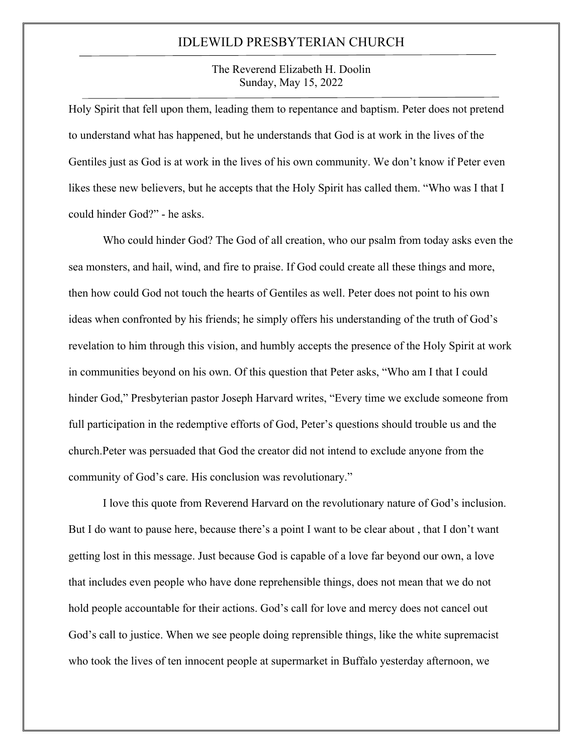The Reverend Elizabeth H. Doolin Sunday, May 15, 2022

Holy Spirit that fell upon them, leading them to repentance and baptism. Peter does not pretend to understand what has happened, but he understands that God is at work in the lives of the Gentiles just as God is at work in the lives of his own community. We don't know if Peter even likes these new believers, but he accepts that the Holy Spirit has called them. "Who was I that I could hinder God?" - he asks.

Who could hinder God? The God of all creation, who our psalm from today asks even the sea monsters, and hail, wind, and fire to praise. If God could create all these things and more, then how could God not touch the hearts of Gentiles as well. Peter does not point to his own ideas when confronted by his friends; he simply offers his understanding of the truth of God's revelation to him through this vision, and humbly accepts the presence of the Holy Spirit at work in communities beyond on his own. Of this question that Peter asks, "Who am I that I could hinder God," Presbyterian pastor Joseph Harvard writes, "Every time we exclude someone from full participation in the redemptive efforts of God, Peter's questions should trouble us and the church.Peter was persuaded that God the creator did not intend to exclude anyone from the community of God's care. His conclusion was revolutionary."

I love this quote from Reverend Harvard on the revolutionary nature of God's inclusion. But I do want to pause here, because there's a point I want to be clear about , that I don't want getting lost in this message. Just because God is capable of a love far beyond our own, a love that includes even people who have done reprehensible things, does not mean that we do not hold people accountable for their actions. God's call for love and mercy does not cancel out God's call to justice. When we see people doing reprensible things, like the white supremacist who took the lives of ten innocent people at supermarket in Buffalo yesterday afternoon, we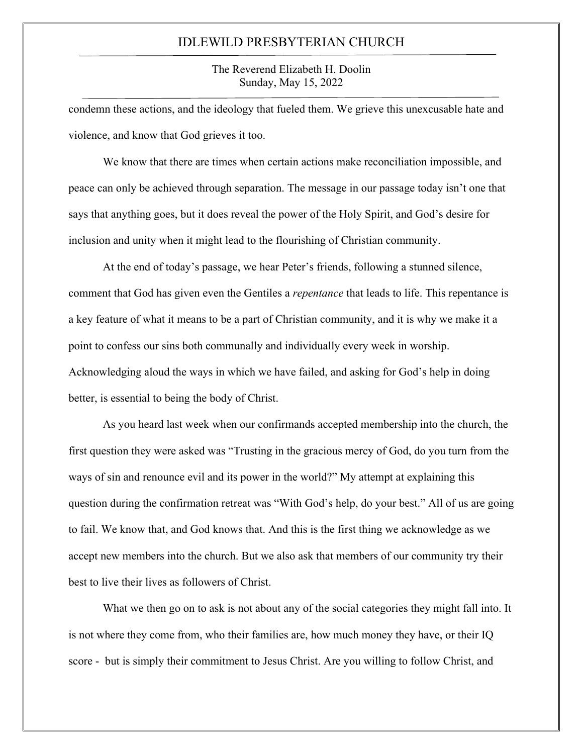The Reverend Elizabeth H. Doolin Sunday, May 15, 2022

condemn these actions, and the ideology that fueled them. We grieve this unexcusable hate and violence, and know that God grieves it too.

We know that there are times when certain actions make reconciliation impossible, and peace can only be achieved through separation. The message in our passage today isn't one that says that anything goes, but it does reveal the power of the Holy Spirit, and God's desire for inclusion and unity when it might lead to the flourishing of Christian community.

At the end of today's passage, we hear Peter's friends, following a stunned silence, comment that God has given even the Gentiles a *repentance* that leads to life. This repentance is a key feature of what it means to be a part of Christian community, and it is why we make it a point to confess our sins both communally and individually every week in worship. Acknowledging aloud the ways in which we have failed, and asking for God's help in doing better, is essential to being the body of Christ.

As you heard last week when our confirmands accepted membership into the church, the first question they were asked was "Trusting in the gracious mercy of God, do you turn from the ways of sin and renounce evil and its power in the world?" My attempt at explaining this question during the confirmation retreat was "With God's help, do your best." All of us are going to fail. We know that, and God knows that. And this is the first thing we acknowledge as we accept new members into the church. But we also ask that members of our community try their best to live their lives as followers of Christ.

What we then go on to ask is not about any of the social categories they might fall into. It is not where they come from, who their families are, how much money they have, or their IQ score - but is simply their commitment to Jesus Christ. Are you willing to follow Christ, and